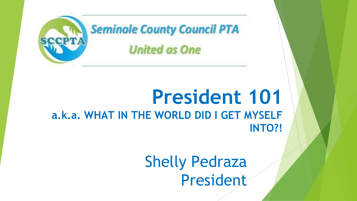

### **President 101 a.k.a. WHAT IN THE WORLD DID I GET MYSELF INTO?!**

Shelly Pedraza President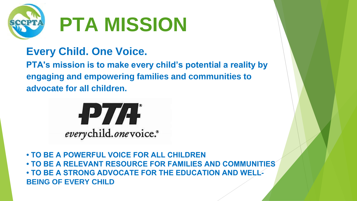

#### **Every Child. One Voice.**

**PTA's mission is to make every child's potential a reality by engaging and empowering families and communities to advocate for all children.**



**• TO BE A POWERFUL VOICE FOR ALL CHILDREN • TO BE A RELEVANT RESOURCE FOR FAMILIES AND COMMUNITIES • TO BE A STRONG ADVOCATE FOR THE EDUCATION AND WELL-BEING OF EVERY CHILD**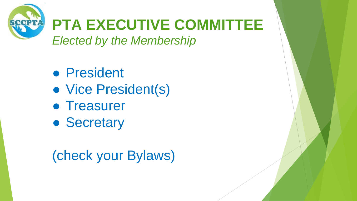

- President
- Vice President(s)
- Treasurer
- Secretary

## (check your Bylaws)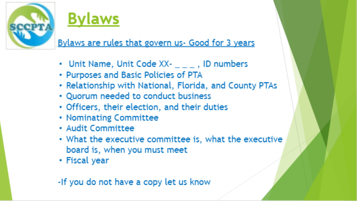



Bylaws are rules that govern us- Good for 3 years

- Unit Name, Unit Code  $XX-$ <sub>\_\_\_</sub>, ID numbers
- Purposes and Basic Policies of PTA
- Relationship with National, Florida, and County PTAs
- Quorum needed to conduct business
- Officers, their election, and their duties
- Nominating Committee
- Audit Committee
- What the executive committee is, what the executive board is, when you must meet
- Fiscal year

-If you do not have a copy let us know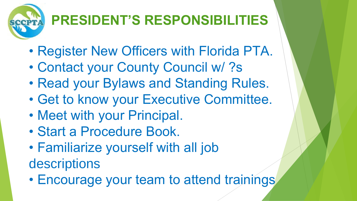# **PRESIDENT'S RESPONSIBILITIES**

- Register New Officers with Florida PTA.
- Contact your County Council w/ ?s
- Read your Bylaws and Standing Rules.
- Get to know your Executive Committee.
- Meet with your Principal.
- Start a Procedure Book.
- Familiarize yourself with all job

descriptions

• Encourage your team to attend trainings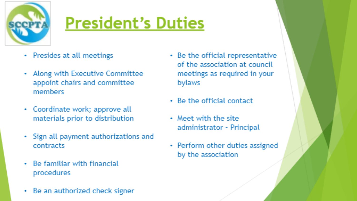

# **President's Duties**

- Presides at all meetings
- Along with Executive Committee appoint chairs and committee members
- Coordinate work; approve all materials prior to distribution
- Sign all payment authorizations and contracts
- Be familiar with financial procedures
- Be an authorized check signer
- Be the official representative of the association at council meetings as required in your **bylaws**
- Be the official contact
- Meet with the site administrator - Principal
- Perform other duties assigned by the association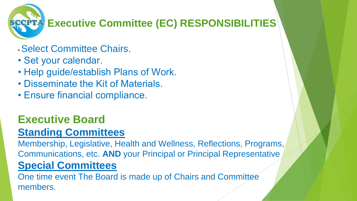**Executive Committee (EC) RESPONSIBILITIES** 

- Select Committee Chairs.
- Set your calendar.
- Help guide/establish Plans of Work.
- Disseminate the Kit of Materials.
- Ensure financial compliance.

#### **Executive Board Standing Committees**

Membership, Legislative, Health and Wellness, Reflections, Programs, Communications, etc. **AND** your Principal or Principal Representative **Special Committees**

One time event The Board is made up of Chairs and Committee members.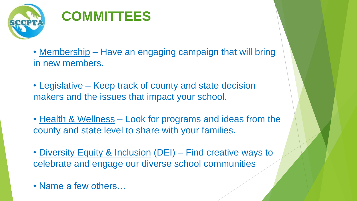

### **COMMITTEES**

- Membership Have an engaging campaign that will bring in new members.
- Legislative Keep track of county and state decision makers and the issues that impact your school.
- Health & Wellness Look for programs and ideas from the county and state level to share with your families.
- Diversity Equity & Inclusion (DEI) Find creative ways to celebrate and engage our diverse school communities
- Name a few others…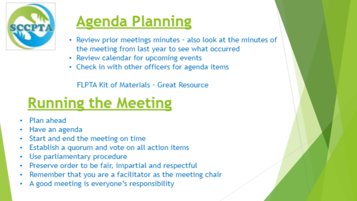

## **Agenda Planning**

- Review prior meetings minutes also look at the minutes of the meeting from last year to see what occurred
- Review calendar for upcoming events
- Check in with other officers for agenda items

**FLPTA Kit of Materials - Great Resource** 

## **Running the Meeting**

- Plan ahead
- Have an agenda ۰
- Start and end the meeting on time ۰
- Establish a quorum and vote on all action items ۰
- Use parliamentary procedure ۰
- Preserve order to be fair, impartial and respectful ۰
- Remember that you are a facilitator as the meeting chair ۰
- A good meeting is everyone's responsibility ٠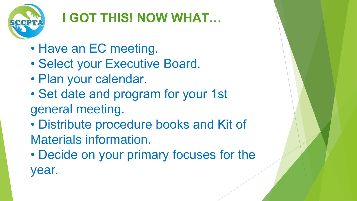

## **I GOT THIS! NOW WHAT…**

- Have an EC meeting.
- Select your Executive Board.
- Plan your calendar.
- Set date and program for your 1st general meeting.
- Distribute procedure books and Kit of Materials information.
- Decide on your primary focuses for the year.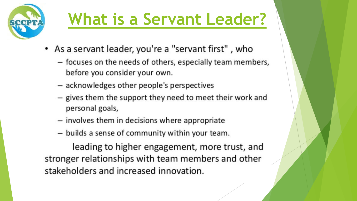

# What is a Servant Leader?

- As a servant leader, you're a "servant first", who
	- focuses on the needs of others, especially team members, before you consider your own.
	- acknowledges other people's perspectives
	- gives them the support they need to meet their work and personal goals,
	- involves them in decisions where appropriate
	- builds a sense of community within your team.

leading to higher engagement, more trust, and stronger relationships with team members and other stakeholders and increased innovation.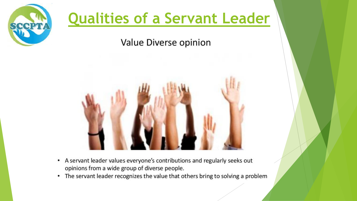

### **Qualities of a Servant Leader**

Value Diverse opinion



- A servant leader values everyone's contributions and regularly seeks out  $\bullet$ opinions from a wide group of diverse people.
- The servant leader recognizes the value that others bring to solving a problem  $\bullet$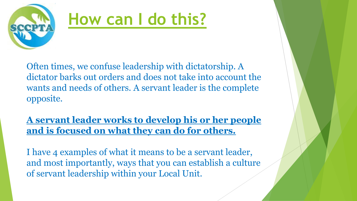

# **How can I do this?**

Often times, we confuse leadership with dictatorship. A dictator barks out orders and does not take into account the wants and needs of others. A servant leader is the complete opposite.

**A servant leader works to develop his or her people and is focused on what they can do for others.**

I have 4 examples of what it means to be a servant leader, and most importantly, ways that you can establish a culture of servant leadership within your Local Unit.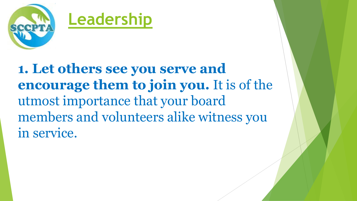

**1. Let others see you serve and encourage them to join you.** It is of the utmost importance that your board members and volunteers alike witness you in service.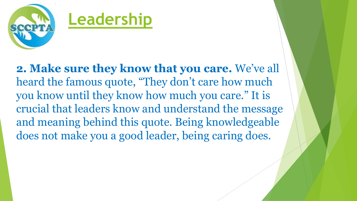

**2. Make sure they know that you care.** We've all heard the famous quote, "They don't care how much you know until they know how much you care." It is crucial that leaders know and understand the message and meaning behind this quote. Being knowledgeable does not make you a good leader, being caring does.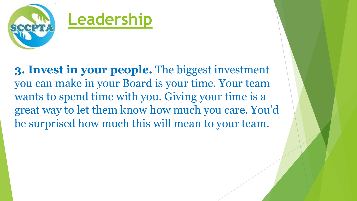

**3. Invest in your people.** The biggest investment you can make in your Board is your time. Your team wants to spend time with you. Giving your time is a great way to let them know how much you care. You'd be surprised how much this will mean to your team.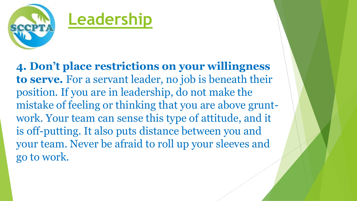

**4. Don't place restrictions on your willingness to serve.** For a servant leader, no job is beneath their position. If you are in leadership, do not make the mistake of feeling or thinking that you are above gruntwork. Your team can sense this type of attitude, and it is off-putting. It also puts distance between you and your team. Never be afraid to roll up your sleeves and go to work.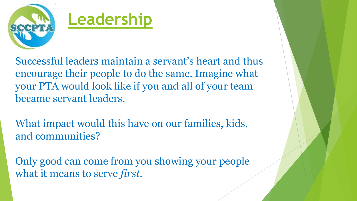

Successful leaders maintain a servant's heart and thus encourage their people to do the same. Imagine what your PTA would look like if you and all of your team became servant leaders.

What impact would this have on our families, kids, and communities?

Only good can come from you showing your people what it means to serve *first*.